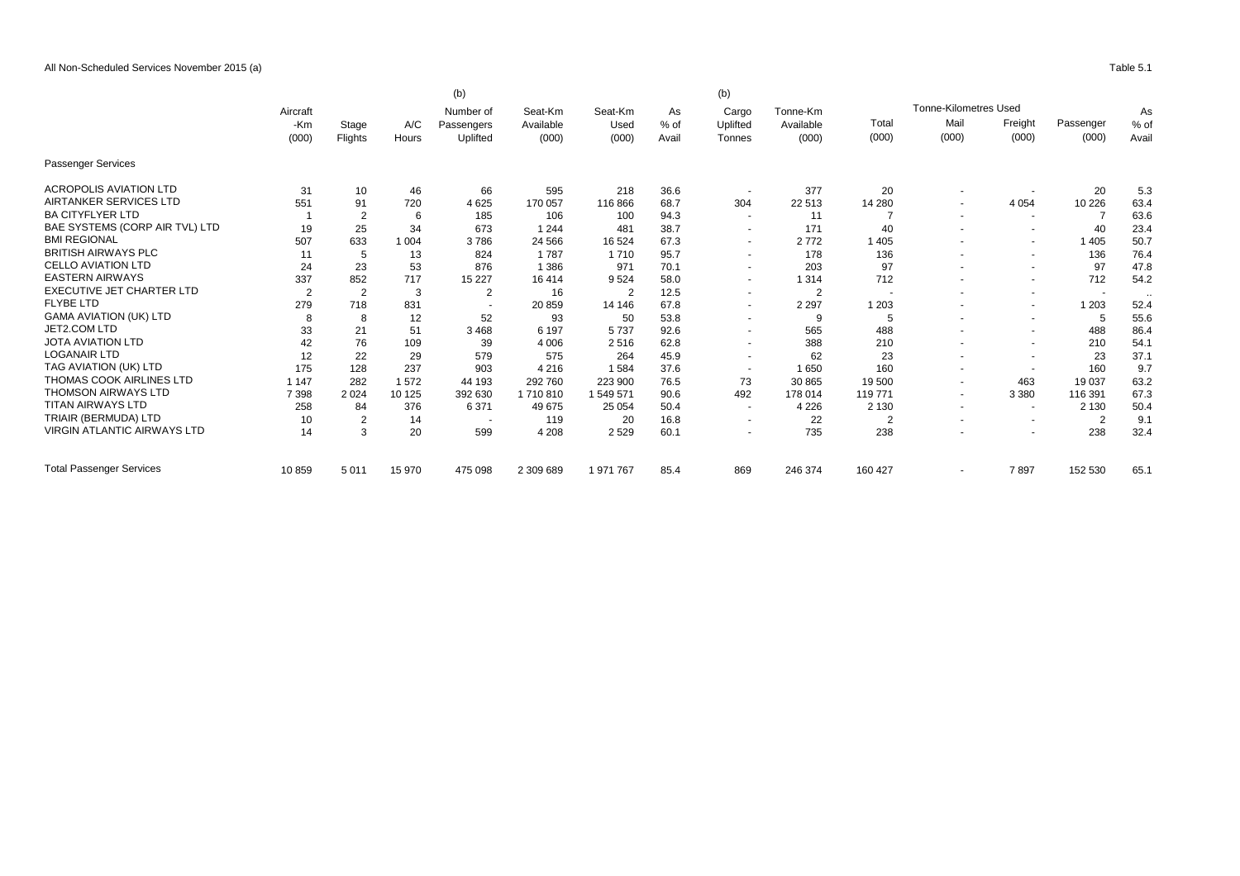|                                    |                          | (b)<br>(b)     |              |                                     |                               |                          |                       |                             |                                |                |                              |                          |                    |                |  |
|------------------------------------|--------------------------|----------------|--------------|-------------------------------------|-------------------------------|--------------------------|-----------------------|-----------------------------|--------------------------------|----------------|------------------------------|--------------------------|--------------------|----------------|--|
|                                    | Aircraft<br>-Km<br>(000) |                | A/C<br>Hours | Number of<br>Passengers<br>Uplifted | Seat-Km<br>Available<br>(000) | Seat-Km<br>Used<br>(000) | As<br>$%$ of<br>Avail | Cargo<br>Uplifted<br>Tonnes | Tonne-Km<br>Available<br>(000) |                | <b>Tonne-Kilometres Used</b> |                          |                    | As             |  |
|                                    |                          | Stage          |              |                                     |                               |                          |                       |                             |                                | Total<br>(000) | Mail<br>(000)                | Freight<br>(000)         | Passenger<br>(000) | $%$ of<br>Avai |  |
|                                    |                          | Flights        |              |                                     |                               |                          |                       |                             |                                |                |                              |                          |                    |                |  |
| <b>Passenger Services</b>          |                          |                |              |                                     |                               |                          |                       |                             |                                |                |                              |                          |                    |                |  |
| <b>ACROPOLIS AVIATION LTD</b>      | 31                       | 10             | 46           | 66                                  | 595                           | 218                      | 36.6                  | $\overline{\phantom{a}}$    | 377                            | 20             |                              |                          | 20                 | 5.3            |  |
| <b>AIRTANKER SERVICES LTD</b>      | 551                      | 91             | 720          | 4 6 2 5                             | 170 057                       | 116866                   | 68.7                  | 304                         | 22 513                         | 14 280         |                              | 4 0 5 4                  | 10 226             | 63.4           |  |
| <b>BA CITYFLYER LTD</b>            |                          | $\overline{2}$ | 6            | 185                                 | 106                           | 100                      | 94.3                  | $\sim$                      | 11                             |                |                              | $\sim$                   |                    | 63.6           |  |
| BAE SYSTEMS (CORP AIR TVL) LTD     | 19                       | 25             | 34           | 673                                 | 1 2 4 4                       | 481                      | 38.7                  | $\overline{\phantom{a}}$    | 171                            | 40             |                              | $\overline{\phantom{a}}$ | 40                 | 23.4           |  |
| <b>BMI REGIONAL</b>                | 507                      | 633            | 1 0 0 4      | 3786                                | 24 5 66                       | 16 5 24                  | 67.3                  | $\overline{\phantom{a}}$    | 2772                           | 1 4 0 5        |                              | $\blacksquare$           | 1 4 0 5            | 50.7           |  |
| <b>BRITISH AIRWAYS PLC</b>         | 11                       | 5              | 13           | 824                                 | 1787                          | 1 7 1 0                  | 95.7                  | $\sim$                      | 178                            | 136            |                              | $\overline{\phantom{a}}$ | 136                | 76.4           |  |
| <b>CELLO AVIATION LTD</b>          | 24                       | 23             | 53           | 876                                 | 1 3 8 6                       | 971                      | 70.1                  | $\overline{\phantom{a}}$    | 203                            | 97             |                              | $\overline{\phantom{a}}$ | 97                 | 47.8           |  |
| <b>EASTERN AIRWAYS</b>             | 337                      | 852            | 717          | 15 2 27                             | 16414                         | 9524                     | 58.0                  | $\overline{\phantom{a}}$    | 1 3 1 4                        | 712            |                              | $\overline{\phantom{a}}$ | 712                | 54.2           |  |
| <b>EXECUTIVE JET CHARTER LTD</b>   | $\overline{2}$           | $\overline{2}$ | 3            | 2                                   | 16                            | $\overline{2}$           | 12.5                  | $\blacksquare$              | $\overline{2}$                 |                |                              | $\overline{\phantom{a}}$ |                    |                |  |
| <b>FLYBE LTD</b>                   | 279                      | 718            | 831          |                                     | 20 859                        | 14 14 6                  | 67.8                  | $\overline{\phantom{a}}$    | 2 2 9 7                        | 1 2 0 3        |                              | $\sim$                   | 1 203              | 52.4           |  |
| <b>GAMA AVIATION (UK) LTD</b>      | 8                        | 8              | 12           | 52                                  | 93                            | 50                       | 53.8                  | $\blacksquare$              | 9                              | 5              |                              | $\overline{\phantom{a}}$ | 5                  | 55.6           |  |
| JET2.COM LTD                       | 33                       | 21             | 51           | 3468                                | 6 1 9 7                       | 5737                     | 92.6                  | $\blacksquare$              | 565                            | 488            |                              | $\overline{\phantom{a}}$ | 488                | 86.4           |  |
| <b>JOTA AVIATION LTD</b>           | 42                       | 76             | 109          | 39                                  | 4 0 0 6                       | 2516                     | 62.8                  | $\overline{\phantom{a}}$    | 388                            | 210            |                              | $\overline{\phantom{a}}$ | 210                | 54.1           |  |
| <b>LOGANAIR LTD</b>                | 12                       | 22             | 29           | 579                                 | 575                           | 264                      | 45.9                  | $\sim$                      | 62                             | 23             |                              | $\overline{\phantom{a}}$ | 23                 | 37.1           |  |
| TAG AVIATION (UK) LTD              | 175                      | 128            | 237          | 903                                 | 4 2 1 6                       | 1584                     | 37.6                  | $\overline{\phantom{a}}$    | 1650                           | 160            |                              | $\overline{\phantom{a}}$ | 160                | 9.7            |  |
| THOMAS COOK AIRLINES LTD           | 1 1 4 7                  | 282            | 1572         | 44 193                              | 292 760                       | 223 900                  | 76.5                  | 73                          | 30 865                         | 19 500         |                              | 463                      | 19 037             | 63.2           |  |
| <b>THOMSON AIRWAYS LTD</b>         | 7 3 9 8                  | 2024           | 10 125       | 392 630                             | 1710810                       | 1 549 571                | 90.6                  | 492                         | 178 014                        | 119 771        | $\tilde{\phantom{a}}$        | 3 3 8 0                  | 116 391            | 67.3           |  |
| <b>TITAN AIRWAYS LTD</b>           | 258                      | 84             | 376          | 6 3 7 1                             | 49 675                        | 25 054                   | 50.4                  | $\overline{\phantom{a}}$    | 4 2 2 6                        | 2 1 3 0        | $\overline{\phantom{a}}$     | $\overline{\phantom{a}}$ | 2 1 3 0            | 50.4           |  |
| TRIAIR (BERMUDA) LTD               | 10                       | $\overline{2}$ | 14           | $\overline{\phantom{a}}$            | 119                           | 20                       | 16.8                  | $\overline{\phantom{a}}$    | 22                             | $\overline{2}$ |                              | $\overline{\phantom{a}}$ | $\overline{2}$     | 9.1            |  |
| <b>VIRGIN ATLANTIC AIRWAYS LTD</b> | 14                       | 3              | 20           | 599                                 | 4 2 0 8                       | 2 5 2 9                  | 60.1                  | $\blacksquare$              | 735                            | 238            |                              | $\overline{\phantom{a}}$ | 238                | 32.4           |  |
| <b>Total Passenger Services</b>    | 10859                    | 5 0 1 1        | 15 970       | 475 098                             | 2 309 689                     | 1 971 767                | 85.4                  | 869                         | 246 374                        | 160 427        |                              | 7897                     | 152 530            | 65.1           |  |